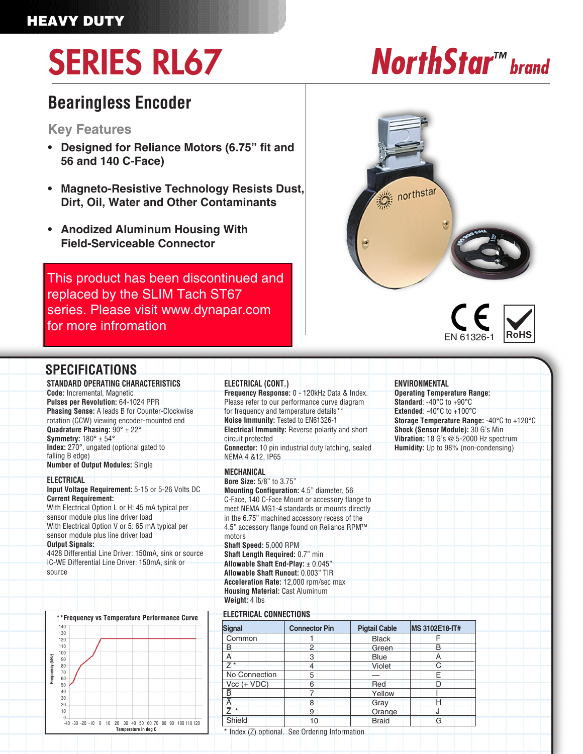### HEAVY DUTY

# **SERIES RL67 brand** *NorthStar™* **brand**

### **Bearingless Encoder**

#### **Key Features**

- **Designed for Reliance Motors (6.75" fit and 56 and 140 C-Face)**
- **Magneto-Resistive Technology Resists Dust, Dirt, Oil, Water and Other Contaminants**
- **Anodized Aluminum Housing With Field-Serviceable Connector**

**• New Model Available with Larger Air Gap and Diagnostic LED. See ST67** [This product has been discontinued and](https://ecatalog.dynapar.com/ecatalog/incremental-encoders/en/ST67)  replaced by the SLIM Tach ST67 series. Please visit www.dynapar.com for more infromation





| <b>SPECIFICATIONS</b>                                                          |                                                                                 |                                              |                                      |                                                                         |                |  |
|--------------------------------------------------------------------------------|---------------------------------------------------------------------------------|----------------------------------------------|--------------------------------------|-------------------------------------------------------------------------|----------------|--|
| STANDARD OPERATING CHARACTERISTICS                                             | ELECTRICAL (CONT.)                                                              |                                              |                                      | <b>ENVIRONMENTAL</b>                                                    |                |  |
| <b>Code:</b> Incremental, Magnetic                                             | Frequency Response: 0 - 120kHz Data & Index.                                    |                                              |                                      | <b>Operating Temperature Range:</b>                                     |                |  |
| Pulses per Revolution: 64-1024 PPR                                             | Please refer to our performance curve diagram                                   |                                              |                                      | <b>Standard: -40<math>^{\circ}</math>C to +90<math>^{\circ}</math>C</b> |                |  |
| <b>Phasing Sense:</b> A leads B for Counter-Clockwise                          | for frequency and temperature details**                                         |                                              |                                      | Extended: $-40^{\circ}$ C to $+100^{\circ}$ C                           |                |  |
| rotation (CCW) viewing encoder-mounted end                                     | Noise Immunity: Tested to EN61326-1                                             |                                              |                                      | Storage Temperature Range: -40°C to +120°C                              |                |  |
| Quadrature Phasing: $90^\circ \pm 22^\circ$                                    | <b>Electrical Immunity:</b> Reverse polarity and short                          |                                              |                                      | Shock (Sensor Module): 30 G's Min                                       |                |  |
| Symmetry: $180^\circ \pm 54^\circ$                                             | circuit protected                                                               |                                              |                                      | Vibration: 18 G's @ 5-2000 Hz spectrum                                  |                |  |
| Index: 270°, ungated (optional gated to<br>falling B edge)                     | <b>Connector:</b> 10 pin industrial duty latching, sealed<br>NEMA 4 & 12, IP65  |                                              | Humidity: Up to 98% (non-condensing) |                                                                         |                |  |
| <b>Number of Output Modules: Single</b>                                        | <b>MECHANICAL</b>                                                               |                                              |                                      |                                                                         |                |  |
| <b>ELECTRICAL</b>                                                              | Bore Size: 5/8" to 3.75"                                                        |                                              |                                      |                                                                         |                |  |
| Input Voltage Requirement: 5-15 or 5-26 Volts DC                               | Mounting Configuration: 4.5" diameter, 56                                       |                                              |                                      |                                                                         |                |  |
| <b>Current Requirement:</b>                                                    | C-Face, 140 C-Face Mount or accessory flange to                                 |                                              |                                      |                                                                         |                |  |
| With Electrical Option L or H: 45 mA typical per                               | meet NEMA MG1-4 standards or mounts directly                                    |                                              |                                      |                                                                         |                |  |
| sensor module plus line driver load                                            | in the 6.75" machined accessory recess of the                                   |                                              |                                      |                                                                         |                |  |
| With Electrical Option V or 5: 65 mA typical per                               |                                                                                 | 4.5" accessory flange found on Reliance RPM™ |                                      |                                                                         |                |  |
| sensor module plus line driver load                                            | motors                                                                          |                                              |                                      |                                                                         |                |  |
| <b>Output Signals:</b><br>4428 Differential Line Driver: 150mA, sink or source | Shaft Speed: 5,000 RPM                                                          |                                              |                                      |                                                                         |                |  |
| IC-WE Differential Line Driver: 150mA, sink or                                 | Shaft Length Required: 0.7" min                                                 |                                              |                                      |                                                                         |                |  |
| source                                                                         | Allowable Shaft End-Play: $\pm$ 0.045"<br>Allowable Shaft Runout: 0.003" TIR    |                                              |                                      |                                                                         |                |  |
|                                                                                |                                                                                 |                                              |                                      |                                                                         |                |  |
|                                                                                | Acceleration Rate: 12,000 rpm/sec max<br><b>Housing Material: Cast Aluminum</b> |                                              |                                      |                                                                         |                |  |
|                                                                                | Weight: 4 lbs                                                                   |                                              |                                      |                                                                         |                |  |
|                                                                                |                                                                                 |                                              |                                      |                                                                         |                |  |
| ** Frequency vs Temperature Performance Curve                                  | <b>ELECTRICAL CONNECTIONS</b>                                                   |                                              |                                      |                                                                         |                |  |
| 140                                                                            | <b>Signal</b>                                                                   | <b>Connector Pin</b>                         | <b>Pigtail Cable</b>                 |                                                                         | MS 3102E18-IT# |  |
| 130<br>120                                                                     | Common                                                                          | 1                                            | <b>Black</b>                         |                                                                         | F              |  |
| 110                                                                            | B                                                                               | $\overline{c}$                               | Green                                |                                                                         | B              |  |
| 100<br>90                                                                      | A                                                                               | 3                                            | <b>Blue</b>                          |                                                                         | A              |  |
| 80                                                                             | $7*$                                                                            | $\overline{4}$                               | Violet                               |                                                                         | $\mathsf{C}$   |  |
| Frequency (kHz)<br>70<br>60                                                    | No Connection                                                                   | 5                                            | $\overline{\phantom{0}}$             |                                                                         | Έ              |  |
| 50                                                                             | $Vcc (+ VDC)$                                                                   | 6                                            | Red                                  |                                                                         | D              |  |
| 40<br>30                                                                       | ē                                                                               | $\overline{7}$                               | Yellow                               |                                                                         |                |  |
| 20                                                                             | $\overline{A}$                                                                  | 8                                            | Gray                                 |                                                                         | Η              |  |
| 10                                                                             | $\overline{Z}$ *                                                                | 9                                            | Orange                               |                                                                         | J              |  |

\* Index (Z) optional. See Ordering Information

**Shield** 

-40 -30 -20 -10 0 10 20 30 40 50 60 70 80 90 100 110 120

0

**Temperature in deg C**

10

**Braid** 

G